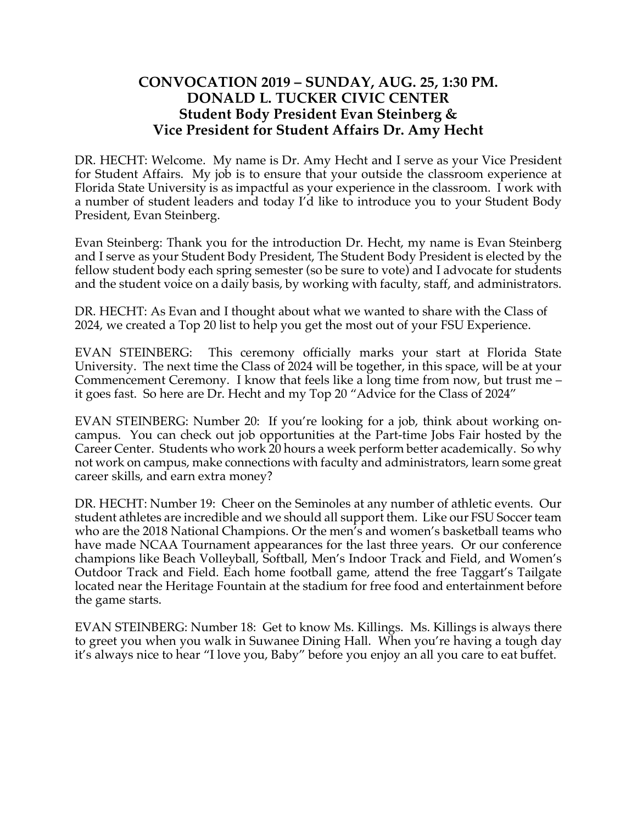## **CONVOCATION 2019 – SUNDAY, AUG. 25, 1:30 PM. DONALD L. TUCKER CIVIC CENTER Student Body President Evan Steinberg & Vice President for Student Affairs Dr. Amy Hecht**

DR. HECHT: Welcome. My name is Dr. Amy Hecht and I serve as your Vice President for Student Affairs. My job is to ensure that your outside the classroom experience at Florida State University is as impactful as your experience in the classroom. I work with a number of student leaders and today I'd like to introduce you to your Student Body President, Evan Steinberg.

Evan Steinberg: Thank you for the introduction Dr. Hecht, my name is Evan Steinberg and I serve as your Student Body President, The Student Body President is elected by the fellow student body each spring semester (so be sure to vote) and I advocate for students and the student voice on a daily basis, by working with faculty, staff, and administrators.

DR. HECHT: As Evan and I thought about what we wanted to share with the Class of 2024, we created a Top 20 list to help you get the most out of your FSU Experience.

EVAN STEINBERG: This ceremony officially marks your start at Florida State University. The next time the Class of 2024 will be together, in this space, will be at your Commencement Ceremony. I know that feels like a long time from now, but trust me – it goes fast. So here are Dr. Hecht and my Top 20 "Advice for the Class of 2024"

EVAN STEINBERG: Number 20: If you're looking for a job, think about working oncampus. You can check out job opportunities at the Part-time Jobs Fair hosted by the Career Center. Students who work 20 hours a week perform better academically. So why not work on campus, make connections with faculty and administrators, learn some great career skills, and earn extra money?

DR. HECHT: Number 19: Cheer on the Seminoles at any number of athletic events. Our student athletes are incredible and we should all support them. Like our FSU Soccer team who are the 2018 National Champions. Or the men's and women's basketball teams who have made NCAA Tournament appearances for the last three years. Or our conference champions like Beach Volleyball, Softball, Men's Indoor Track and Field, and Women's Outdoor Track and Field. Each home football game, attend the free Taggart's Tailgate located near the Heritage Fountain at the stadium for free food and entertainment before the game starts.

EVAN STEINBERG: Number 18: Get to know Ms. Killings. Ms. Killings is always there to greet you when you walk in Suwanee Dining Hall. When you're having a tough day it's always nice to hear "I love you, Baby" before you enjoy an all you care to eat buffet.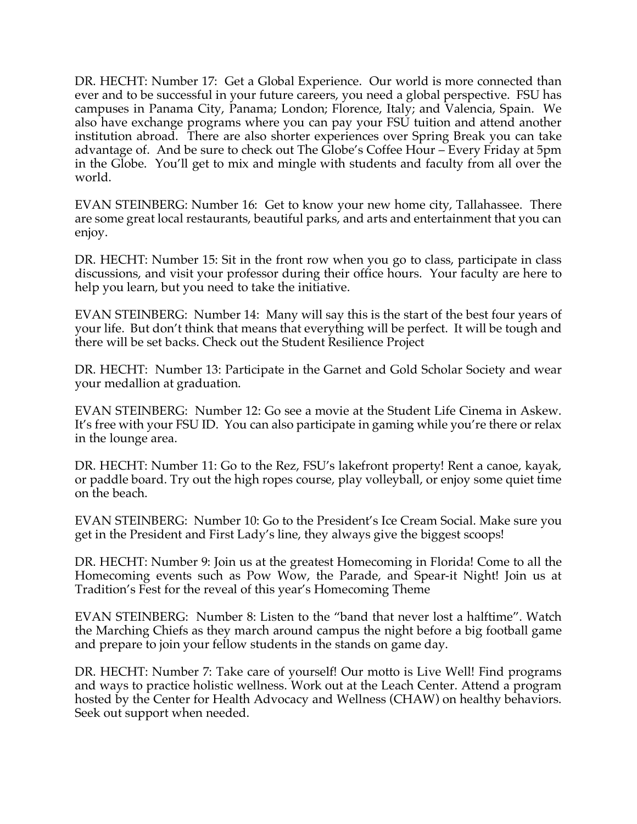DR. HECHT: Number 17: Get a Global Experience. Our world is more connected than ever and to be successful in your future careers, you need a global perspective. FSU has campuses in Panama City, Panama; London; Florence, Italy; and Valencia, Spain. We also have exchange programs where you can pay your FSU tuition and attend another institution abroad. There are also shorter experiences over Spring Break you can take advantage of. And be sure to check out The Globe's Coffee Hour – Every Friday at 5pm in the Globe. You'll get to mix and mingle with students and faculty from all over the world.

EVAN STEINBERG: Number 16: Get to know your new home city, Tallahassee. There are some great local restaurants, beautiful parks, and arts and entertainment that you can enjoy.

DR. HECHT: Number 15: Sit in the front row when you go to class, participate in class discussions, and visit your professor during their office hours. Your faculty are here to help you learn, but you need to take the initiative.

EVAN STEINBERG: Number 14: Many will say this is the start of the best four years of your life. But don't think that means that everything will be perfect. It will be tough and there will be set backs. Check out the Student Resilience Project

DR. HECHT: Number 13: Participate in the Garnet and Gold Scholar Society and wear your medallion at graduation.

EVAN STEINBERG: Number 12: Go see a movie at the Student Life Cinema in Askew. It's free with your FSU ID. You can also participate in gaming while you're there or relax in the lounge area.

DR. HECHT: Number 11: Go to the Rez, FSU's lakefront property! Rent a canoe, kayak, or paddle board. Try out the high ropes course, play volleyball, or enjoy some quiet time on the beach.

EVAN STEINBERG: Number 10: Go to the President's Ice Cream Social. Make sure you get in the President and First Lady's line, they always give the biggest scoops!

DR. HECHT: Number 9: Join us at the greatest Homecoming in Florida! Come to all the Homecoming events such as Pow Wow, the Parade, and Spear-it Night! Join us at Tradition's Fest for the reveal of this year's Homecoming Theme

EVAN STEINBERG: Number 8: Listen to the "band that never lost a halftime". Watch the Marching Chiefs as they march around campus the night before a big football game and prepare to join your fellow students in the stands on game day.

DR. HECHT: Number 7: Take care of yourself! Our motto is Live Well! Find programs and ways to practice holistic wellness. Work out at the Leach Center. Attend a program hosted by the Center for Health Advocacy and Wellness (CHAW) on healthy behaviors. Seek out support when needed.